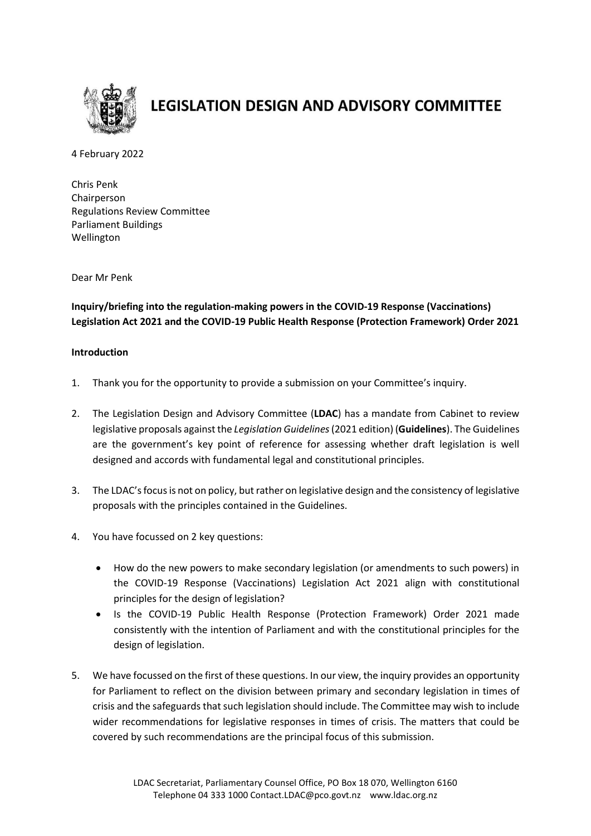

# **LEGISLATION DESIGN AND ADVISORY COMMITTEE**

4 February 2022

Chris Penk Chairperson Regulations Review Committee Parliament Buildings Wellington

Dear Mr Penk

**Inquiry/briefing into the regulation-making powers in the COVID-19 Response (Vaccinations) Legislation Act 2021 and the COVID-19 Public Health Response (Protection Framework) Order 2021**

### **Introduction**

- 1. Thank you for the opportunity to provide a submission on your Committee's inquiry.
- 2. The Legislation Design and Advisory Committee (**LDAC**) has a mandate from Cabinet to review legislative proposals against the *Legislation Guidelines*(2021 edition) (**Guidelines**). The Guidelines are the government's key point of reference for assessing whether draft legislation is well designed and accords with fundamental legal and constitutional principles.
- 3. The LDAC's focus is not on policy, but rather on legislative design and the consistency of legislative proposals with the principles contained in the Guidelines.
- 4. You have focussed on 2 key questions:
	- How do the new powers to make secondary legislation (or amendments to such powers) in the COVID-19 Response (Vaccinations) Legislation Act 2021 align with constitutional principles for the design of legislation?
	- Is the COVID-19 Public Health Response (Protection Framework) Order 2021 made consistently with the intention of Parliament and with the constitutional principles for the design of legislation.
- 5. We have focussed on the first of these questions. In our view, the inquiry provides an opportunity for Parliament to reflect on the division between primary and secondary legislation in times of crisis and the safeguards that such legislation should include. The Committee may wish to include wider recommendations for legislative responses in times of crisis. The matters that could be covered by such recommendations are the principal focus of this submission.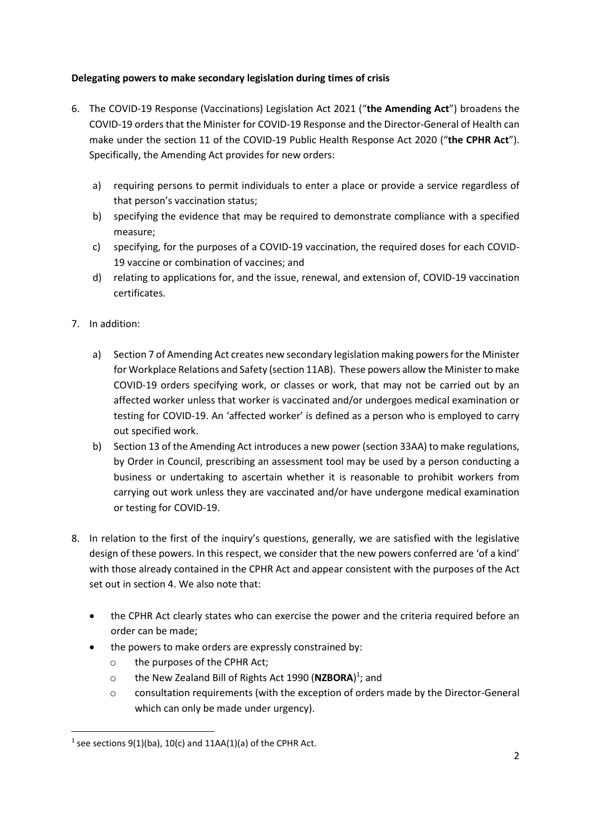## **Delegating powers to make secondary legislation during times of crisis**

- 6. The COVID-19 Response (Vaccinations) Legislation Act 2021 ("**the Amending Act**") broadens the COVID-19 orders that the Minister for COVID-19 Response and the Director-General of Health can make under the section 11 of the COVID-19 Public Health Response Act 2020 ("**the CPHR Act**"). Specifically, the Amending Act provides for new orders:
	- a) requiring persons to permit individuals to enter a place or provide a service regardless of that person's vaccination status;
	- b) specifying the evidence that may be required to demonstrate compliance with a specified measure;
	- c) specifying, for the purposes of a COVID-19 vaccination, the required doses for each COVID-19 vaccine or combination of vaccines; and
	- d) relating to applications for, and the issue, renewal, and extension of, COVID-19 vaccination certificates.
- 7. In addition:

**.** 

- a) Section 7 of Amending Act creates new secondary legislation making powers for the Minister for Workplace Relations and Safety (section 11AB). These powers allow the Minister to make COVID-19 orders specifying work, or classes or work, that may not be carried out by an affected worker unless that worker is vaccinated and/or undergoes medical examination or testing for COVID-19. An 'affected worker' is defined as a person who is employed to carry out specified work.
- b) Section 13 of the Amending Act introduces a new power (section 33AA) to make regulations, by Order in Council, prescribing an assessment tool may be used by a person conducting a business or undertaking to ascertain whether it is reasonable to prohibit workers from carrying out work unless they are vaccinated and/or have undergone medical examination or testing for COVID-19.
- 8. In relation to the first of the inquiry's questions, generally, we are satisfied with the legislative design of these powers. In this respect, we consider that the new powers conferred are 'of a kind' with those already contained in the CPHR Act and appear consistent with the purposes of the Act set out in section 4. We also note that:
	- the CPHR Act clearly states who can exercise the power and the criteria required before an order can be made;
	- the powers to make orders are expressly constrained by:
		- o the purposes of the CPHR Act;
		- o the New Zealand Bill of Rights Act 1990 (NZBORA)<sup>1</sup>; and
		- o consultation requirements (with the exception of orders made by the Director-General which can only be made under urgency).

<sup>&</sup>lt;sup>1</sup> see sections  $9(1)(ba)$ , 10(c) and 11AA(1)(a) of the CPHR Act.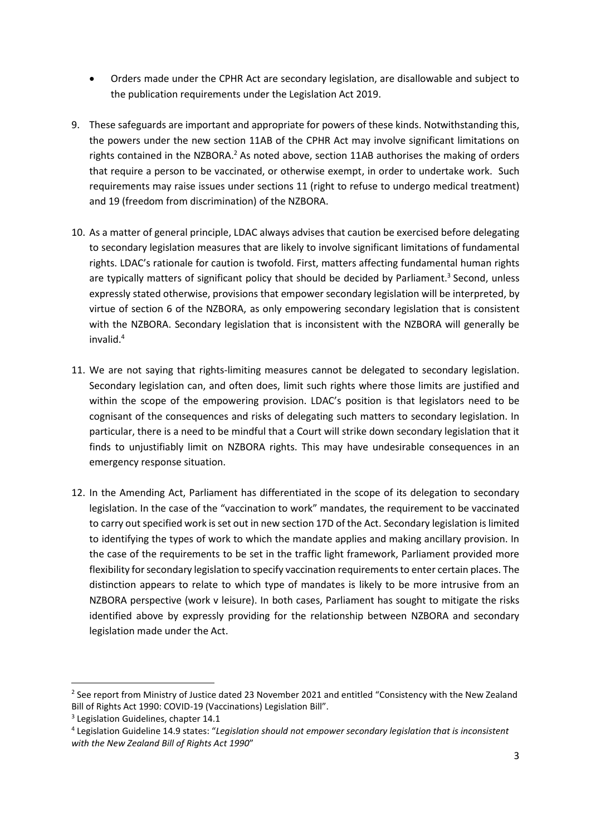- Orders made under the CPHR Act are secondary legislation, are disallowable and subject to the publication requirements under the Legislation Act 2019.
- 9. These safeguards are important and appropriate for powers of these kinds. Notwithstanding this, the powers under the new section 11AB of the CPHR Act may involve significant limitations on rights contained in the NZBORA.<sup>2</sup> As noted above, section 11AB authorises the making of orders that require a person to be vaccinated, or otherwise exempt, in order to undertake work. Such requirements may raise issues under sections 11 (right to refuse to undergo medical treatment) and 19 (freedom from discrimination) of the NZBORA.
- 10. As a matter of general principle, LDAC always advises that caution be exercised before delegating to secondary legislation measures that are likely to involve significant limitations of fundamental rights. LDAC's rationale for caution is twofold. First, matters affecting fundamental human rights are typically matters of significant policy that should be decided by Parliament.<sup>3</sup> Second, unless expressly stated otherwise, provisions that empower secondary legislation will be interpreted, by virtue of section 6 of the NZBORA, as only empowering secondary legislation that is consistent with the NZBORA. Secondary legislation that is inconsistent with the NZBORA will generally be invalid.<sup>4</sup>
- 11. We are not saying that rights-limiting measures cannot be delegated to secondary legislation. Secondary legislation can, and often does, limit such rights where those limits are justified and within the scope of the empowering provision. LDAC's position is that legislators need to be cognisant of the consequences and risks of delegating such matters to secondary legislation. In particular, there is a need to be mindful that a Court will strike down secondary legislation that it finds to unjustifiably limit on NZBORA rights. This may have undesirable consequences in an emergency response situation.
- 12. In the Amending Act, Parliament has differentiated in the scope of its delegation to secondary legislation. In the case of the "vaccination to work" mandates, the requirement to be vaccinated to carry out specified work is set out in new section 17D of the Act. Secondary legislation is limited to identifying the types of work to which the mandate applies and making ancillary provision. In the case of the requirements to be set in the traffic light framework, Parliament provided more flexibility for secondary legislation to specify vaccination requirements to enter certain places. The distinction appears to relate to which type of mandates is likely to be more intrusive from an NZBORA perspective (work v leisure). In both cases, Parliament has sought to mitigate the risks identified above by expressly providing for the relationship between NZBORA and secondary legislation made under the Act.

**.** 

<sup>&</sup>lt;sup>2</sup> See report from Ministry of Justice dated 23 November 2021 and entitled "Consistency with the New Zealand Bill of Rights Act 1990: COVID-19 (Vaccinations) Legislation Bill".

<sup>&</sup>lt;sup>3</sup> Legislation Guidelines, chapter 14.1

<sup>4</sup> Legislation Guideline 14.9 states: "*Legislation should not empower secondary legislation that is inconsistent with the New Zealand Bill of Rights Act 1990*"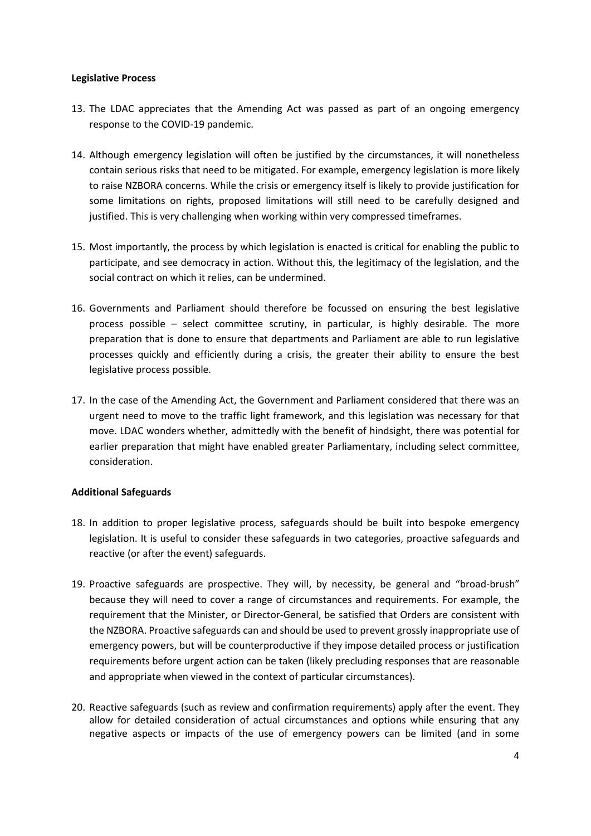#### **Legislative Process**

- 13. The LDAC appreciates that the Amending Act was passed as part of an ongoing emergency response to the COVID-19 pandemic.
- 14. Although emergency legislation will often be justified by the circumstances, it will nonetheless contain serious risks that need to be mitigated. For example, emergency legislation is more likely to raise NZBORA concerns. While the crisis or emergency itself is likely to provide justification for some limitations on rights, proposed limitations will still need to be carefully designed and justified. This is very challenging when working within very compressed timeframes.
- 15. Most importantly, the process by which legislation is enacted is critical for enabling the public to participate, and see democracy in action. Without this, the legitimacy of the legislation, and the social contract on which it relies, can be undermined.
- 16. Governments and Parliament should therefore be focussed on ensuring the best legislative process possible – select committee scrutiny, in particular, is highly desirable. The more preparation that is done to ensure that departments and Parliament are able to run legislative processes quickly and efficiently during a crisis, the greater their ability to ensure the best legislative process possible.
- 17. In the case of the Amending Act, the Government and Parliament considered that there was an urgent need to move to the traffic light framework, and this legislation was necessary for that move. LDAC wonders whether, admittedly with the benefit of hindsight, there was potential for earlier preparation that might have enabled greater Parliamentary, including select committee, consideration.

#### **Additional Safeguards**

- 18. In addition to proper legislative process, safeguards should be built into bespoke emergency legislation. It is useful to consider these safeguards in two categories, proactive safeguards and reactive (or after the event) safeguards.
- 19. Proactive safeguards are prospective. They will, by necessity, be general and "broad-brush" because they will need to cover a range of circumstances and requirements. For example, the requirement that the Minister, or Director-General, be satisfied that Orders are consistent with the NZBORA. Proactive safeguards can and should be used to prevent grossly inappropriate use of emergency powers, but will be counterproductive if they impose detailed process or justification requirements before urgent action can be taken (likely precluding responses that are reasonable and appropriate when viewed in the context of particular circumstances).
- 20. Reactive safeguards (such as review and confirmation requirements) apply after the event. They allow for detailed consideration of actual circumstances and options while ensuring that any negative aspects or impacts of the use of emergency powers can be limited (and in some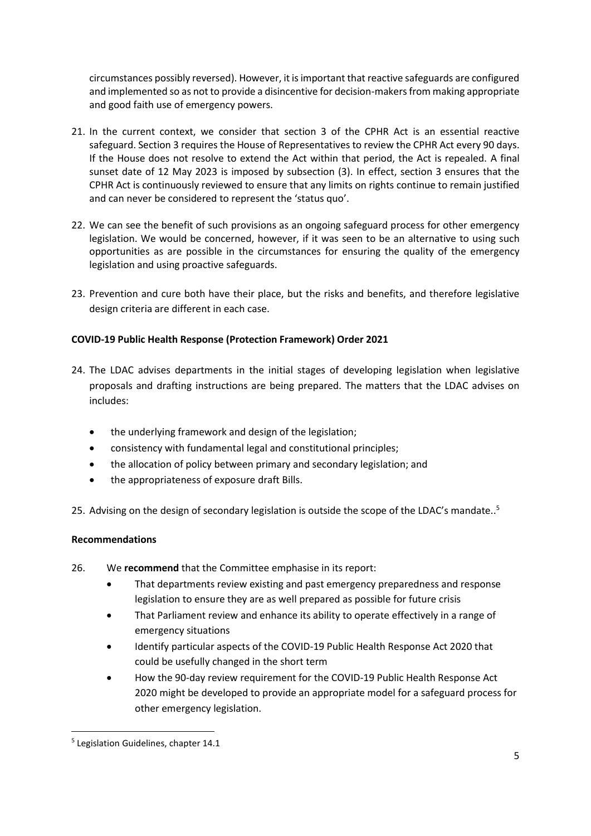circumstances possibly reversed). However, it is important that reactive safeguards are configured and implemented so as not to provide a disincentive for decision-makers from making appropriate and good faith use of emergency powers.

- 21. In the current context, we consider that section 3 of the CPHR Act is an essential reactive safeguard. Section 3 requires the House of Representatives to review the CPHR Act every 90 days. If the House does not resolve to extend the Act within that period, the Act is repealed. A final sunset date of 12 May 2023 is imposed by subsection (3). In effect, section 3 ensures that the CPHR Act is continuously reviewed to ensure that any limits on rights continue to remain justified and can never be considered to represent the 'status quo'.
- 22. We can see the benefit of such provisions as an ongoing safeguard process for other emergency legislation. We would be concerned, however, if it was seen to be an alternative to using such opportunities as are possible in the circumstances for ensuring the quality of the emergency legislation and using proactive safeguards.
- 23. Prevention and cure both have their place, but the risks and benefits, and therefore legislative design criteria are different in each case.

## **COVID-19 Public Health Response (Protection Framework) Order 2021**

- 24. The LDAC advises departments in the initial stages of developing legislation when legislative proposals and drafting instructions are being prepared. The matters that the LDAC advises on includes:
	- the underlying framework and design of the legislation;
	- consistency with fundamental legal and constitutional principles;
	- the allocation of policy between primary and secondary legislation; and
	- the appropriateness of exposure draft Bills.

25. Advising on the design of secondary legislation is outside the scope of the LDAC's mandate..<sup>5</sup>

## **Recommendations**

- 26. We **recommend** that the Committee emphasise in its report:
	- That departments review existing and past emergency preparedness and response legislation to ensure they are as well prepared as possible for future crisis
	- That Parliament review and enhance its ability to operate effectively in a range of emergency situations
	- Identify particular aspects of the COVID-19 Public Health Response Act 2020 that could be usefully changed in the short term
	- How the 90-day review requirement for the COVID-19 Public Health Response Act 2020 might be developed to provide an appropriate model for a safeguard process for other emergency legislation.

**.** 

<sup>5</sup> Legislation Guidelines, chapter 14.1